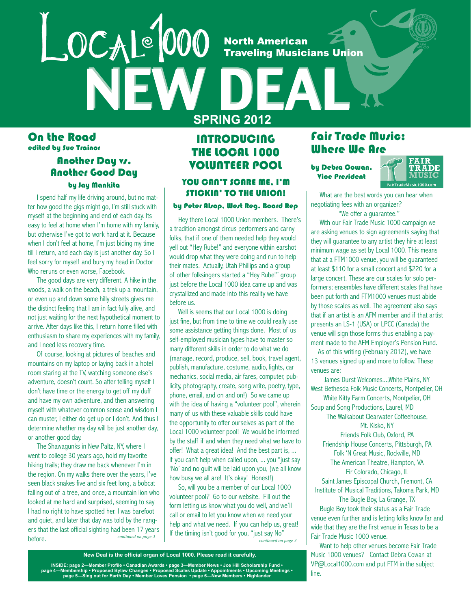**North American Traveling Musicians Union** 

On the Road edited by Sue Trainor

### **Another Day vs.** Another Good Day

LOCAL<sup>é</sup> 000

by Jay Mankita

 I spend half my life driving around, but no matter how good the gigs might go, I'm still stuck with myself at the beginning and end of each day. Its easy to feel at home when I'm home with my family, but otherwise I've got to work hard at it. Because when I don't feel at home, I'm just biding my time till I return, and each day is just another day. So I feel sorry for myself and bury my head in Doctor Who reruns or even worse, Facebook.

 The good days are very different. A hike in the woods, a walk on the beach, a trek up a mountain, or even up and down some hilly streets gives me the distinct feeling that I am in fact fully alive, and not just waiting for the next hypothetical moment to arrive. After days like this, I return home filled with enthusiasm to share my experiences with my family, and I need less recovery time.

 Of course, looking at pictures of beaches and mountains on my laptop or laying back in a hotel room staring at the TV, watching someone else's adventure, doesn't count. So after telling myself I don't have time or the energy to get off my duff and have my own adventure, and then answering myself with whatever common sense and wisdom I can muster, I either do get up or I don't. And thus I determine whether my day will be just another day, or another good day.

 The Shawagunks in New Paltz, NY, where I went to college 30 years ago, hold my favorite hiking trails; they draw me back whenever I'm in the region. On my walks there over the years, I've seen black snakes five and six feet long, a bobcat falling out of a tree, and once, a mountain lion who looked at me hard and surprised, seeming to say I had no right to have spotted her. I was barefoot and quiet, and later that day was told by the rangers that the last official sighting had been 17 years<br>before before.

## **INTRODUCING** THE LOCAL 1000 VOLUNTEER POOL

**SPRING 2012**

### YOU CAN'T SCARE ME. I'M STICKIN' TO THE UNION!

### by Peter Alsop, West Reg. Board Rep

 Hey there Local 1000 Union members. There's a tradition amongst circus performers and carny folks, that if one of them needed help they would yell out "Hey Rube!" and everyone within earshot would drop what they were doing and run to help their mates. Actually, Utah Phillips and a group of other folksingers started a "Hey Rube!" group just before the Local 1000 idea came up and was crystallized and made into this reality we have before us.

Well is seems that our Local 1000 is doing just fine, but from time to time we could really use some assistance getting things done. Most of us self-employed musician types have to master so many different skills in order to do what we do (manage, record, produce, sell, book, travel agent, publish, manufacture, costume, audio, lights, car mechanics, social media, air fares, computer, publicity, photography, create, song write, poetry, type, phone, email, and on and on!) So we came up with the idea of having a "volunteer pool", wherein many of us with these valuable skills could have the opportunity to offer ourselves as part of the Local 1000 volunteer pool! We would be informed by the staff if and when they need what we have to offer! What a great idea! And the best part is, ... if you can't help when called upon, ... you "just say 'No' and no guilt will be laid upon you, (we all know how busy we all are! It's okay! Honest!)

 So, will you be a member of our Local 1000 volunteer pool? Go to our website. Fill out the form letting us know what you do well, and we'll call or email to let you know when we need your help and what we need. If you can help us, great! If the timing isn't good for you, "just say No" *continued on page 3— continued on page 3—*

Fair Trade Music: Where We Are

by Debra Cowan, **Vice President** 



 What are the best words you can hear when negotiating fees with an organizer?

"We offer a guarantee."

 With our Fair Trade Music 1000 campaign we are asking venues to sign agreements saying that they will guarantee to any artist they hire at least minimum wage as set by Local 1000. This means that at a FTM1000 venue, you will be guaranteed at least \$110 for a small concert and \$220 for a large concert. These are our scales for solo performers; ensembles have different scales that have been put forth and FTM1000 venues must abide by those scales as well. The agreement also says that if an artist is an AFM member and if that artist presents an LS-1 (USA) or LPCC (Canada) the venue will sign those forms thus enabling a payment made to the AFM Employer's Pension Fund.

 As of this writing (February 2012), we have 13 venues signed up and more to follow. These venues are:

James Durst Welcomes...,White Plains, NY West Bethesda Folk Music Concerts, Montpelier, OH White Kitty Farm Concerts, Montpelier, OH Soup and Song Productions, Laurel, MD The Walkabout Clearwater Coffeehouse, Mt. Kisko, NY Friends Folk Club, Oxford, PA Friendship House Concerts, Pittsburgh, PA Folk 'N Great Music, Rockville, MD The American Theatre, Hampton, VA Fir Colorado, Chicago, IL Saint James Episcopal Church, Fremont, CA Institute of Musical Traditions, Takoma Park, MD

The Bugle Boy, La Grange, TX Bugle Boy took their status as a Fair Trade venue even further and is letting folks know far and wide that they are the first venue in Texas to be a Fair Trade Music 1000 venue.

 Want to help other venues become Fair Trade Music 1000 venues? Contact Debra Cowan at VP@Local1000.com and put FTM in the subject line.

#### **New Deal is the official organ of Local 1000. Please read it carefully.**

+ INSIDE: page 2—Member Profile • Canadian Awards • page 3—Member News • Joe Hill Scholarship Fund<br>+ page 4—Membership • Proposed Bylaw Changes • Proposed Scales Update • Appointments • Upcoming Meetings •<br>+ page 5—Sing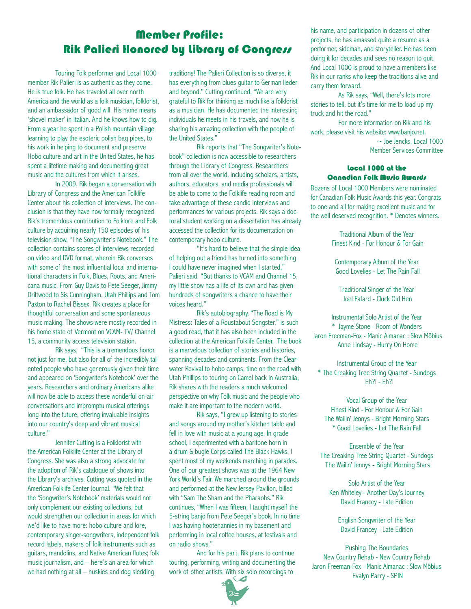# Member Profile: Rik Palieri Honored by Library of Congress

Touring Folk performer and Local 1000 member Rik Palieri is as authentic as they come. He is true folk. He has traveled all over north America and the world as a folk musician, folklorist, and an ambassador of good will. His name means 'shovel-maker' in Italian. And he knows how to dig. From a year he spent in a Polish mountain village learning to play the esoteric polish bag pipes, to his work in helping to document and preserve Hobo culture and art in the United States, he has spent a lifetime making and documenting great music and the cultures from which it arises.

In 2009, Rik began a conversation with Library of Congress and the American Folklife Center about his collection of interviews. The conclusion is that they have now formally recognized Rik's tremendous contribution to Folklore and Folk culture by acquiring nearly 150 episodes of his television show, "The Songwriter's Notebook." The collection contains scores of interviews recorded on video and DVD format, wherein Rik converses with some of the most influential local and international characters in Folk, Blues, Roots, and Americana music. From Guy Davis to Pete Seeger, Jimmy Driftwood to Sis Cunningham, Utah Phillips and Tom Paxton to Rachel Bissex. Rik creates a place for thoughtful conversation and some spontaneous music making. The shows were mostly recorded in his home state of Vermont on VCAM- TV/ Channel 15, a community access television station.

Rik says, "This is a tremendous honor, not just for me, but also for all of the incredibly talented people who have generously given their time and appeared on 'Songwriter's Notebook' over the years. Researchers and ordinary Americans alike will now be able to access these wonderful on-air conversations and impromptu musical offerings long into the future, offering invaluable insights into our country's deep and vibrant musical culture."

Jennifer Cutting is a Folklorist with the American Folklife Center at the Library of Congress. She was also a strong advocate for the adoption of Rik's catalogue of shows into the Library's archives. Cutting was quoted in the American Folklife Center Journal. "We felt that the 'Songwriter's Notebook' materials would not only complement our existing collections, but would strengthen our collection in areas for which we'd like to have more: hobo culture and lore, contemporary singer-songwriters, independent folk record labels, makers of folk instruments such as guitars, mandolins, and Native American flutes; folk music journalism, and – here's an area for which we had nothing at all – huskies and dog sledding

traditions! The Palieri Collection is so diverse, it has everything from blues guitar to German lieder and beyond." Cutting continued, "We are very grateful to Rik for thinking as much like a folklorist as a musician. He has documented the interesting individuals he meets in his travels, and now he is sharing his amazing collection with the people of the United States."

Rik reports that "The Songwriter's Notebook" collection is now accessible to researchers through the Library of Congress. Researchers from all over the world, including scholars, artists, authors, educators, and media professionals will be able to come to the Folklife reading room and take advantage of these candid interviews and performances for various projects. Rik says a doctoral student working on a dissertation has already accessed the collection for its documentation on contemporary hobo culture.

"It's hard to believe that the simple idea of helping out a friend has turned into something I could have never imagined when I started," Palieri said. "But thanks to VCAM and Channel 15, my little show has a life of its own and has given hundreds of songwriters a chance to have their voices heard."

Rik's autobiography, "The Road is My Mistress: Tales of a Roustabout Songster," is such a good read, that it has also been included in the collection at the American Folklife Center. The book is a marvelous collection of stories and histories, spanning decades and continents. From the Clearwater Revival to hobo camps, time on the road with Utah Phillips to touring on Camel back in Australia, Rik shares with the readers a much welcomed perspective on why Folk music and the people who make it are important to the modern world.

Rik says, "I grew up listening to stories and songs around my mother's kitchen table and fell in love with music at a young age. In grade school, I experimented with a baritone horn in a drum & bugle Corps called The Black Hawks. I spent most of my weekends marching in parades. One of our greatest shows was at the 1964 New York World's Fair. We marched around the grounds and performed at the New Jersey Pavilion, billed with "Sam The Sham and the Pharaohs." Rik continues, "When I was fifteen, I taught myself the 5-string banjo from Pete Seeger's book. In no time I was having hootenannies in my basement and performing in local coffee houses, at festivals and on radio shows."

And for his part, Rik plans to continue touring, performing, writing and documenting the work of other artists. With six solo recordings to



his name, and participation in dozens of other projects, he has amassed quite a resume as a performer, sideman, and storyteller. He has been doing it for decades and sees no reason to quit. And Local 1000 is proud to have a members like Rik in our ranks who keep the traditions alive and carry them forward.

As Rik says, "Well, there's lots more stories to tell, but it's time for me to load up my truck and hit the road."

For more information on Rik and his work, please visit his website: www.banjo.net.  $\sim$  Joe Jencks, Local 1000

Member Services Committee

### Local 1000 at the Canadian Folk Music Awards

Dozens of Local 1000 Members were nominated for Canadian Folk Music Awards this year. Congrats to one and all for making excellent music and for the well deserved recognition. \* Denotes winners.

> Traditional Album of the Year Finest Kind - For Honour & For Gain

Contemporary Album of the Year Good Lovelies - Let The Rain Fall

Traditional Singer of the Year Joel Fafard - Cluck Old Hen

Instrumental Solo Artist of the Year \* Jayme Stone - Room of Wonders Jaron Freeman-Fox - Manic Almanac : Slow Möbius Anne Lindsay - Hurry On Home

Instrumental Group of the Year \* The Creaking Tree String Quartet - Sundogs Eh?! - Eh?!

Vocal Group of the Year Finest Kind - For Honour & For Gain The Wailin' Jennys - Bright Morning Stars \* Good Lovelies - Let The Rain Fall

Ensemble of the Year The Creaking Tree String Quartet - Sundogs The Wailin' Jennys - Bright Morning Stars

Solo Artist of the Year Ken Whiteley - Another Day's Journey David Francey - Late Edition

English Songwriter of the Year David Francey - Late Edition

Pushing The Boundaries New Country Rehab - New Country Rehab Jaron Freeman-Fox - Manic Almanac : Slow Möbius Evalyn Parry - SPIN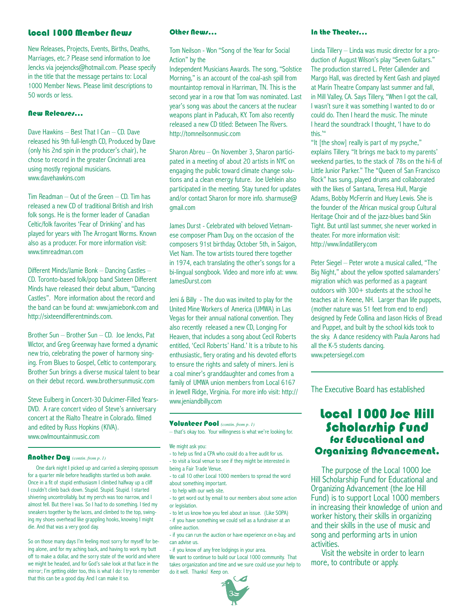### Local 1000 Member News Other News...

New Releases, Projects, Events, Births, Deaths, Marriages, etc.? Please send information to Joe Jencks via joejencks@hotmail.com. Please specify in the title that the message pertains to: Local 1000 Member News. Please limit descriptions to 50 words or less.

### New Releases…

Dave Hawkins – Best That I Can – CD. Dave released his 9th full-length CD, Produced by Dave (only his 2nd spin in the producer's chair), he chose to record in the greater Cincinnati area using mostly regional musicians. www.davehawkins.com

Tim Readman – Out of the Green – CD. Tim has released a new CD of traditional British and Irish folk songs. He is the former leader of Canadian Celtic/folk favorites 'Fear of Drinking' and has played for years with The Arrogant Worms. Known also as a producer. For more information visit: www.timreadman.com

Different Minds/Jamie Bonk – Dancing Castles – CD. Toronto-based folk/pop band Sixteen Different Minds have released their debut album, "Dancing Castles". More information about the record and the band can be found at: www.jamiebonk.com and http://sixteendifferentminds.com.

Brother Sun – Brother Sun – CD. Joe Jencks, Pat Wictor, and Greg Greenway have formed a dynamic new trio, celebrating the power of harmony singing. From Blues to Gospel, Celtic to contemporary, Brother Sun brings a diverse musical talent to bear on their debut record. www.brothersunmusic.com

Steve Eulberg in Concert-30 Dulcimer-Filled Years-DVD. A rare concert video of Steve's anniversary concert at the Rialto Theatre in Colorado. filmed and edited by Russ Hopkins (KIVA). www.owlmountainmusic.com

#### Another Day *(contin. from p. 1)*

 One dark night I picked up and carried a sleeping opossum for a quarter mile before headlights startled us both awake. Once in a fit of stupid enthusiasm I climbed halfway up a cliff I couldn't climb back down. Stupid. Stupid. Stupid. I started shivering uncontrollably, but my perch was too narrow, and I almost fell. But there I was. So I had to do something. I tied my sneakers together by the laces, and climbed to the top, swinging my shoes overhead like grappling hooks, knowing I might die. And that was a very good day.

So on those many days I'm feeling most sorry for myself for being alone, and for my aching back, and having to work my butt off to make a dollar, and the sorry state of the world and where we might be headed, and for God's sake look at that face in the mirror; I'm getting older too, this is what I do: I try to remember that this can be a good day. And I can make it so.

Tom Neilson - Won "Song of the Year for Social Action" by the

Independent Musicians Awards. The song, "Solstice Morning," is an account of the coal-ash spill from mountaintop removal in Harriman, TN. This is the second year in a row that Tom was nominated. Last year's song was about the cancers at the nuclear weapons plant in Paducah, KY. Tom also recently released a new CD titled: Between The Rivers. http://tomneilsonmusic.com

Sharon Abreu – On November 3, Sharon participated in a meeting of about 20 artists in NYC on engaging the public toward climate change solutions and a clean energy future. Joe Uehlein also participated in the meeting. Stay tuned for updates and/or contact Sharon for more info. sharmuse@ gmail.com

James Durst - Celebrated with beloved Vietnamese composer Pham Duy, on the occasion of the composers 91st birthday, October 5th, in Saigon, Viet Nam. The tow artists toured there together in 1974, each translating the other's songs for a bi-lingual songbook. Video and more info at: www. JamesDurst.com

Jeni & Billy - The duo was invited to play for the United Mine Workers of America (UMWA) in Las Vegas for their annual national convention. They also recently released a new CD, Longing For Heaven, that includes a song about Cecil Roberts entitled, 'Cecil Roberts' Hand.' It is a tribute to his enthusiastic, fiery orating and his devoted efforts to ensure the rights and safety of miners. Jeni is a coal miner's granddaughter and comes from a family of UMWA union members from Local 6167 in Jewell Ridge, Virginia. For more info visit: http:// www.jeniandbilly.com

#### Volunteer Pool *(contin. from p. 1)*

– that's okay too. Your willingness is what we're looking for.

We might ask you:

- to help us find a CPA who could do a free audit for us. - to visit a local venue to see if they might be interested in
- being a Fair Trade Venue.
- to call 10 other Local 1000 members to spread the word about something important.
- to help with our web site.
- to get word out by email to our members about some action or legislation.
- to let us know how you feel about an issue. (Like SOPA) - if you have something we could sell as a fundraiser at an online auction.
- if you can run the auction or have experience on e-bay, and can advise us.
- if you know of any free lodgings in your area.

We want to continue to build our Local 1000 community. That takes organization and time and we sure could use your help to do it well. Thanks! Keep on.

### In the Theater…

Linda Tillery – Linda was music director for a production of August Wilson's play "Seven Guitars." The production starred L. Peter Callender and Margo Hall, was directed by Kent Gash and played at Marin Theatre Company last summer and fall, in Mill Valley, CA. Says Tillery, "When I got the call, I wasn't sure it was something I wanted to do or could do. Then I heard the music. The minute I heard the soundtrack I thought, 'I have to do this.'"

"It [the show] really is part of my psyche," explains Tillery. "It brings me back to my parents' weekend parties, to the stack of 78s on the hi-fi of Little Junior Parker." The "Queen of San Francisco Rock" has sung, played drums and collaborated with the likes of Santana, Teresa Hull, Margie Adams, Bobby McFerrin and Huey Lewis. She is the founder of the African musical group Cultural Heritage Choir and of the jazz-blues band Skin Tight. But until last summer, she never worked in theater. For more information visit: http://www.lindatillery.com

Peter Siegel – Peter wrote a musical called, "The Big Night," about the yellow spotted salamanders' migration which was performed as a pageant outdoors with 300+ students at the school he teaches at in Keene, NH. Larger than life puppets, (mother nature was 51 feet from end to end) designed by Fede Collina and Jason Hicks of Bread and Puppet, and built by the school kids took to the sky. A dance residency with Paula Aarons had all the K-5 students dancing. www.petersiegel.com

The Executive Board has established

### Local 1000 Joe Hill Scholarship fund for Educational and Organizing Advancement.

 The purpose of the Local 1000 Joe Hill Scholarship Fund for Educational and Organizing Advancement (the Joe Hill Fund) is to support Local 1000 members in increasing their knowledge of union and worker history, their skills in organizing and their skills in the use of music and song and performing arts in union activities.

 Visit the website in order to learn more, to contribute or apply.

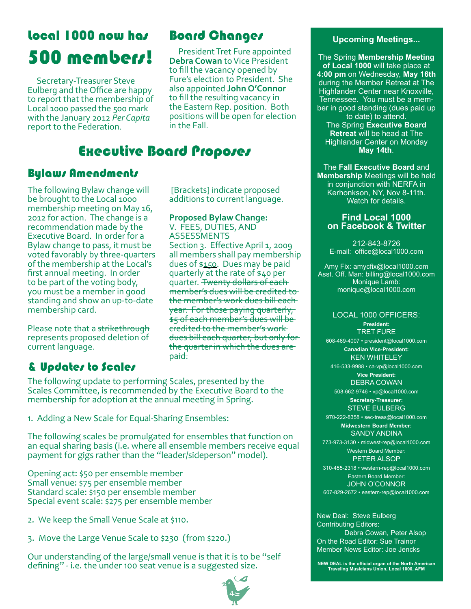# Local 1000 now has 500 members!

 Secretary-Treasurer Steve Eulberg and the Office are happy to report that the membership of Local 1000 passed the 500 mark with the January 2012 *Per Capita* report to the Federation.

# **Board Changes The Changes Changes** Upcoming Meetings...

 President Tret Fure appointed **Debra Cowan** to Vice President to fill the vacancy opened by Fure's election to President. She also appointed **John O'Connor** to fill the resulting vacancy in the Eastern Rep. position. Both positions will be open for election in the Fall.

# Executive Board Proposes

## Bylaws Amendments

The following Bylaw change will be brought to the Local 1000 membership meeting on May 16, 2012 for action. The change is a recommendation made by the Executive Board. In order for a Bylaw change to pass, it must be voted favorably by three-quarters of the membership at the Local's first annual meeting. In order to be part of the voting body, you must be a member in good standing and show an up-to-date membership card.

Please note that a strikethrough represents proposed deletion of current language.

# & Updates to Scales

 [Brackets] indicate proposed additions to current language.

### **Proposed Bylaw Change:**

V. FEES, DUTIES, AND ASSESSMENTS Section 3. Effective April 1, 2009 all members shall pay membership dues of \$150. Dues may be paid quarterly at the rate of \$40 per quarter. <del>Twenty dollars of each</del> member's dues will be credited to the member's work dues bill each year. For those paying quarterly, \$5 of each member's dues will be credited to the member's work dues bill each quarter, but only for the quarter in which the dues are <del>paid.</del>

The following update to performing Scales, presented by the Scales Committee, is recommended by the Executive Board to the membership for adoption at the annual meeting in Spring.

1. Adding a New Scale for Equal-Sharing Ensembles:

The following scales be promulgated for ensembles that function on an equal sharing basis (i.e. where all ensemble members receive equal payment for gigs rather than the "leader/sideperson" model).

Opening act: \$50 per ensemble member Small venue: \$75 per ensemble member Standard scale: \$150 per ensemble member Special event scale: \$275 per ensemble member

- 2. We keep the Small Venue Scale at \$110.
- 3. Move the Large Venue Scale to \$230 (from \$220.)

Our understanding of the large/small venue is that it is to be "self defining" - i.e. the under 100 seat venue is a suggested size.



The Spring **Membership Meeting of Local 1000** will take place at **4:00 pm** on Wednesday, **May 16th** during the Member Retreat at The Highlander Center near Knoxville, Tennessee. You must be a member in good standing (dues paid up to date) to attend. The Spring **Executive Board Retreat** will be head at The Highlander Center on Monday **May 14th**.

The **Fall Executive Board** and **Membership** Meetings will be held in conjunction with NERFA in Kerhonkson, NY, Nov 8-11th. Watch for details.

### **Find Local 1000 on Facebook & Twitter**

212-843-8726 E-mail: office@local1000.com

Amy Fix: amycfix@local1000.com Asst. Off. Man: billing@local1000.com Monique Lamb: monique@local1000.com

### LOCAL 1000 OFFICERS:

**President:** TRET FURE 608-469-4007 • president@local1000.com **Canadian Vice-President:** KEN WHITELEY 416-533-9988 • ca-vp@local1000.com **Vice President:** DEBRA COWAN 508-662-9746 • vp@local1000.com **Secretary-Treasurer:** STEVE EULBERG 970-222-8358 • sec-treas@local1000.com **Midwestern Board Member:** SANDY ANDINA 773-973-3130 • midwest-rep@local1000.com Western Board Member: PETER ALSOP

310-455-2318 • western-rep@local1000.com Eastern Board Member: JOHN O'CONNOR 607-829-2672 • eastern-rep@local1000.com

New Deal: Steve Eulberg Contributing Editors:

Debra Cowan, Peter Alsop On the Road Editor: Sue Trainor Member News Editor: Joe Jencks

**NEW DEAL is the official organ of the North American Traveling Musicians Union, Local 1000, AFM**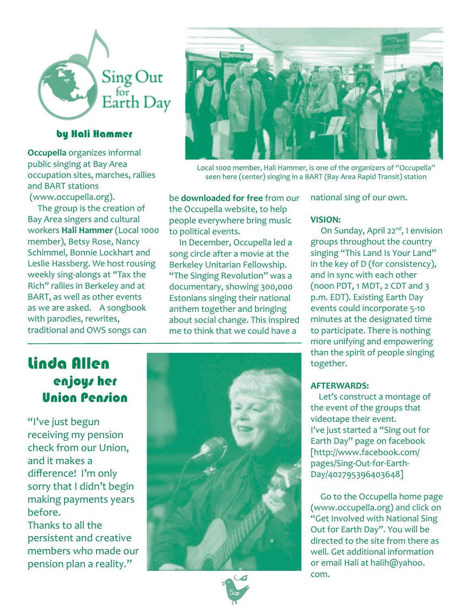

### by Hali Hammer

**Occupella** organizes informal public singing at Bay Area occupation sites, marches, rallies and BART stations (www.occupella.org).

 The group is the creation of Bay Area singers and cultural workers **Hali Hammer** (Local 1000 member), Betsy Rose, Nancy Schimmel, Bonnie Lockhart and Leslie Hassberg. We host rousing weekly sing-alongs at "Tax the Rich" rallies in Berkeley and at BART, as well as other events as we are asked. A songbook with parodies, rewrites, traditional and OWS songs can



Local 1000 member, Hali Hammer, is one of the organizers of "Occupella" seen here (center) singing in a BART (Bay Area Rapid Transit) station

be **downloaded for free** from our the Occupella website, to help people everywhere bring music to political events.

 In December, Occupella led a song circle after a movie at the Berkeley Unitarian Fellowship. "The Singing Revolution" was a documentary, showing 300,000 Estonians singing their national anthem together and bringing about social change. This inspired me to think that we could have a

### national sing of our own.

### **VISION:**

On Sunday, April 22<sup>nd</sup>, I envision groups throughout the country singing "This Land Is Your Land" in the key of D (for consistency), and in sync with each other (noon PDT, 1 MDT, 2 CDT and 3 p.m. EDT). Existing Earth Day events could incorporate 5-10 minutes at the designated time to participate. There is nothing more unifying and empowering than the spirit of people singing together.

### **AFTERWARDS:**

 Let's construct a montage of the event of the groups that videotape their event. I've just started a "Sing out for Earth Day" page on facebook [http://www.facebook.com/ pages/Sing-Out-for-Earth-Day/402795396403648]

 Go to the Occupella home page (www.occupella.org) and click on "Get Involved with National Sing Out for Earth Day". You will be directed to the site from there as well. Get additional information or email Hali at halih@yahoo. com.

# Linda Allen enjoys her Union Pension

"I've just begun receiving my pension check from our Union, and it makes a difference! I'm only sorry that I didn't begin making payments years before.

Thanks to all the persistent and creative members who made our pension plan a reality."



5